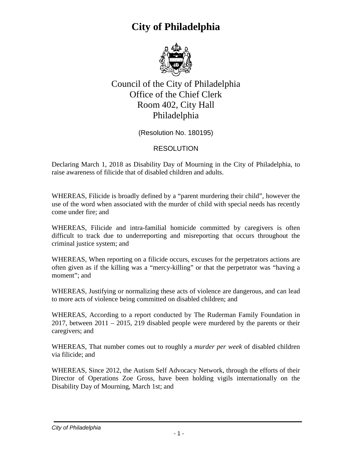

Council of the City of Philadelphia Office of the Chief Clerk Room 402, City Hall Philadelphia

(Resolution No. 180195)

#### RESOLUTION

Declaring March 1, 2018 as Disability Day of Mourning in the City of Philadelphia, to raise awareness of filicide that of disabled children and adults.

WHEREAS, Filicide is broadly defined by a "parent murdering their child", however the use of the word when associated with the murder of child with special needs has recently come under fire; and

WHEREAS, Filicide and intra-familial homicide committed by caregivers is often difficult to track due to underreporting and misreporting that occurs throughout the criminal justice system; and

WHEREAS, When reporting on a filicide occurs, excuses for the perpetrators actions are often given as if the killing was a "mercy-killing" or that the perpetrator was "having a moment"; and

WHEREAS, Justifying or normalizing these acts of violence are dangerous, and can lead to more acts of violence being committed on disabled children; and

WHEREAS, According to a report conducted by The Ruderman Family Foundation in 2017, between 2011 – 2015, 219 disabled people were murdered by the parents or their caregivers; and

WHEREAS, That number comes out to roughly a *murder per week* of disabled children via filicide; and

WHEREAS, Since 2012, the Autism Self Advocacy Network, through the efforts of their Director of Operations Zoe Gross, have been holding vigils internationally on the Disability Day of Mourning, March 1st; and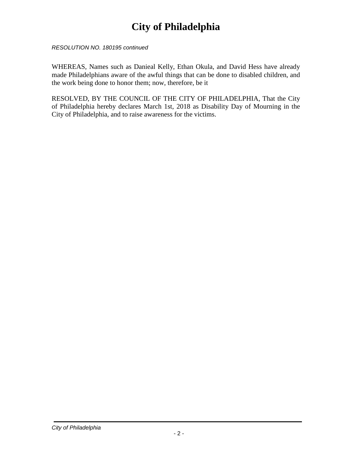*RESOLUTION NO. 180195 continued*

WHEREAS, Names such as Danieal Kelly, Ethan Okula, and David Hess have already made Philadelphians aware of the awful things that can be done to disabled children, and the work being done to honor them; now, therefore, be it

RESOLVED, BY THE COUNCIL OF THE CITY OF PHILADELPHIA, That the City of Philadelphia hereby declares March 1st, 2018 as Disability Day of Mourning in the City of Philadelphia, and to raise awareness for the victims.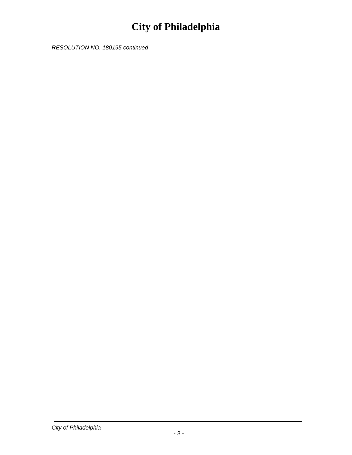*RESOLUTION NO. 180195 continued*